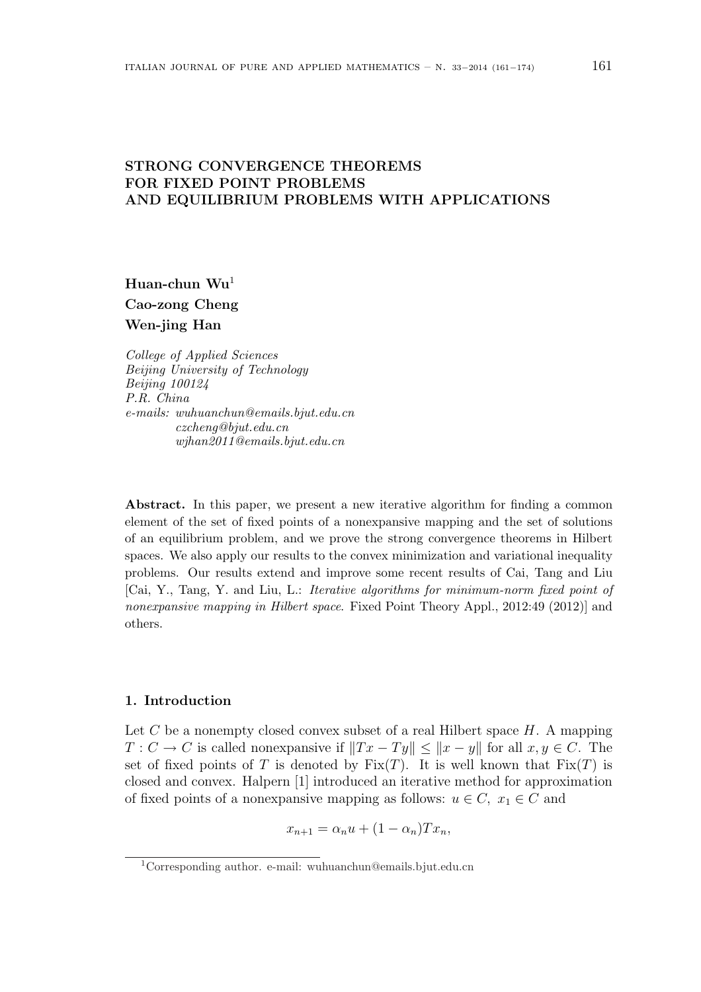# STRONG CONVERGENCE THEOREMS FOR FIXED POINT PROBLEMS AND EQUILIBRIUM PROBLEMS WITH APPLICATIONS

Huan-chun  $Wu<sup>1</sup>$ Cao-zong Cheng Wen-jing Han

College of Applied Sciences Beijing University of Technology Beijing 100124 P.R. China e-mails: wuhuanchun@emails.bjut.edu.cn czcheng@bjut.edu.cn wjhan2011@emails.bjut.edu.cn

Abstract. In this paper, we present a new iterative algorithm for finding a common element of the set of fixed points of a nonexpansive mapping and the set of solutions of an equilibrium problem, and we prove the strong convergence theorems in Hilbert spaces. We also apply our results to the convex minimization and variational inequality problems. Our results extend and improve some recent results of Cai, Tang and Liu [Cai, Y., Tang, Y. and Liu, L.: Iterative algorithms for minimum-norm fixed point of nonexpansive mapping in Hilbert space. Fixed Point Theory Appl., 2012:49 (2012)] and others.

## 1. Introduction

Let  $C$  be a nonempty closed convex subset of a real Hilbert space  $H$ . A mapping  $T: C \to C$  is called nonexpansive if  $||Tx - Ty|| \le ||x - y||$  for all  $x, y \in C$ . The set of fixed points of T is denoted by  $Fix(T)$ . It is well known that  $Fix(T)$  is closed and convex. Halpern [1] introduced an iterative method for approximation of fixed points of a nonexpansive mapping as follows:  $u \in C$ ,  $x_1 \in C$  and

$$
x_{n+1} = \alpha_n u + (1 - \alpha_n) T x_n,
$$

<sup>1</sup>Corresponding author. e-mail: wuhuanchun@emails.bjut.edu.cn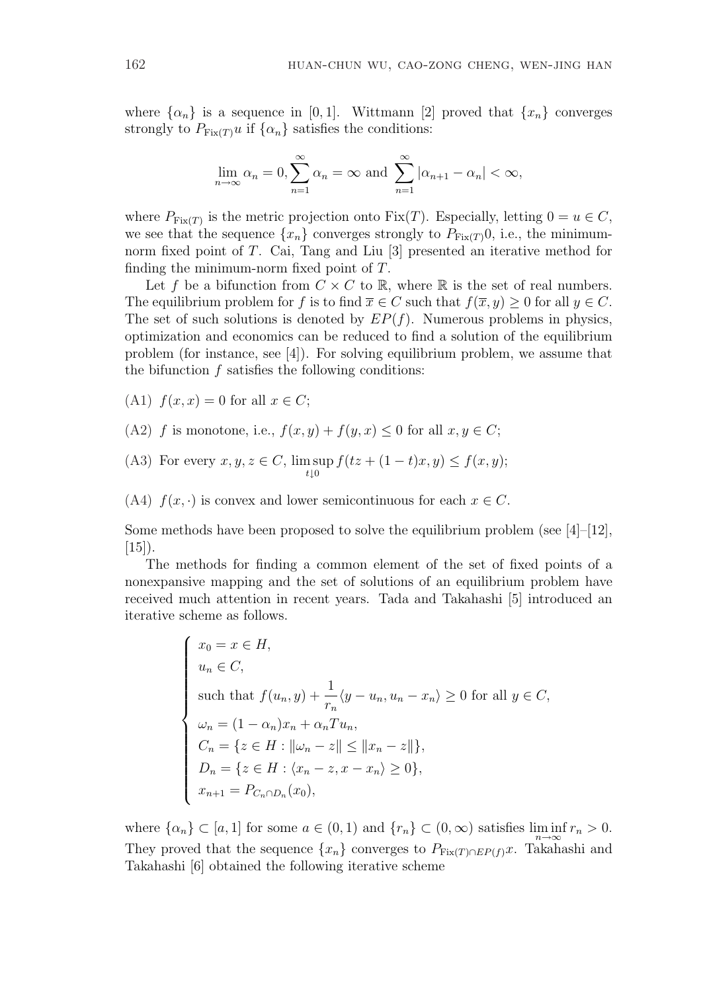where  $\{\alpha_n\}$  is a sequence in [0, 1]. Wittmann [2] proved that  $\{x_n\}$  converges strongly to  $P_{\text{Fix}(T)}u$  if  $\{\alpha_n\}$  satisfies the conditions:

$$
\lim_{n \to \infty} \alpha_n = 0, \sum_{n=1}^{\infty} \alpha_n = \infty \text{ and } \sum_{n=1}^{\infty} |\alpha_{n+1} - \alpha_n| < \infty,
$$

where  $P_{\text{Fix}(T)}$  is the metric projection onto  $\text{Fix}(T)$ . Especially, letting  $0 = u \in C$ , we see that the sequence  $\{x_n\}$  converges strongly to  $P_{\text{Fix}(T)}(0, i.e.,$  the minimumnorm fixed point of T. Cai, Tang and Liu [3] presented an iterative method for finding the minimum-norm fixed point of T.

Let f be a bifunction from  $C \times C$  to  $\mathbb{R}$ , where  $\mathbb{R}$  is the set of real numbers. The equilibrium problem for f is to find  $\overline{x} \in C$  such that  $f(\overline{x}, y) \ge 0$  for all  $y \in C$ . The set of such solutions is denoted by  $EP(f)$ . Numerous problems in physics, optimization and economics can be reduced to find a solution of the equilibrium problem (for instance, see [4]). For solving equilibrium problem, we assume that the bifunction  $f$  satisfies the following conditions:

- (A1)  $f(x, x) = 0$  for all  $x \in C$ ;
- (A2) f is monotone, i.e.,  $f(x, y) + f(y, x) \leq 0$  for all  $x, y \in C$ ;
- (A3) For every  $x, y, z \in C$ , lim sup  $t\downarrow0$  $f(tz + (1-t)x, y) \le f(x, y);$
- (A4)  $f(x, \cdot)$  is convex and lower semicontinuous for each  $x \in C$ .

Some methods have been proposed to solve the equilibrium problem (see  $|4|$ - $|12|$ ,  $[15]$ ).

The methods for finding a common element of the set of fixed points of a nonexpansive mapping and the set of solutions of an equilibrium problem have received much attention in recent years. Tada and Takahashi [5] introduced an iterative scheme as follows.

$$
\begin{cases}\nx_0 = x \in H, \\
u_n \in C, \\
\text{such that } f(u_n, y) + \frac{1}{r_n} \langle y - u_n, u_n - x_n \rangle \ge 0 \text{ for all } y \in C, \\
\omega_n = (1 - \alpha_n)x_n + \alpha_n T u_n, \\
C_n = \{ z \in H : ||\omega_n - z|| \le ||x_n - z|| \}, \\
D_n = \{ z \in H : \langle x_n - z, x - x_n \rangle \ge 0 \}, \\
x_{n+1} = P_{C_n \cap D_n}(x_0),\n\end{cases}
$$

where  $\{\alpha_n\} \subset [a,1]$  for some  $a \in (0,1)$  and  $\{r_n\} \subset (0,\infty)$  satisfies  $\liminf_{n \to \infty} r_n > 0$ . They proved that the sequence  $\{x_n\}$  converges to  $P_{\text{Fix}(T) \cap EP(f)}x$ . Takahashi and Takahashi [6] obtained the following iterative scheme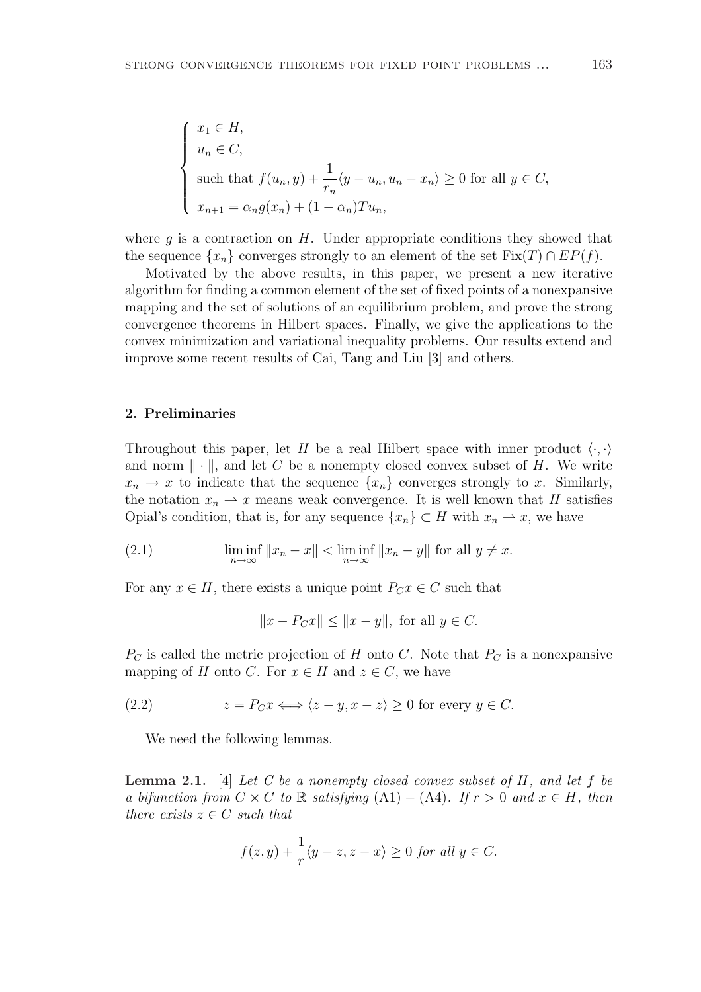$$
\begin{cases}\nx_1 \in H, \\
u_n \in C, \\
\text{such that } f(u_n, y) + \frac{1}{r_n} \langle y - u_n, u_n - x_n \rangle \ge 0 \text{ for all } y \in C, \\
x_{n+1} = \alpha_n g(x_n) + (1 - \alpha_n) T u_n,\n\end{cases}
$$

where  $q$  is a contraction on  $H$ . Under appropriate conditions they showed that the sequence  $\{x_n\}$  converges strongly to an element of the set  $Fix(T) \cap EP(f)$ .

Motivated by the above results, in this paper, we present a new iterative algorithm for finding a common element of the set of fixed points of a nonexpansive mapping and the set of solutions of an equilibrium problem, and prove the strong convergence theorems in Hilbert spaces. Finally, we give the applications to the convex minimization and variational inequality problems. Our results extend and improve some recent results of Cai, Tang and Liu [3] and others.

## 2. Preliminaries

Throughout this paper, let H be a real Hilbert space with inner product  $\langle \cdot, \cdot \rangle$ and norm  $\|\cdot\|$ , and let C be a nonempty closed convex subset of H. We write  $x_n \to x$  to indicate that the sequence  $\{x_n\}$  converges strongly to x. Similarly, the notation  $x_n \rightharpoonup x$  means weak convergence. It is well known that H satisfies Opial's condition, that is, for any sequence  $\{x_n\} \subset H$  with  $x_n \to x$ , we have

(2.1) 
$$
\liminf_{n \to \infty} ||x_n - x|| < \liminf_{n \to \infty} ||x_n - y|| \text{ for all } y \neq x.
$$

For any  $x \in H$ , there exists a unique point  $P_C x \in C$  such that

$$
||x - P_C x|| \le ||x - y||
$$
, for all  $y \in C$ .

 $P<sub>C</sub>$  is called the metric projection of H onto C. Note that  $P<sub>C</sub>$  is a nonexpansive mapping of H onto C. For  $x \in H$  and  $z \in C$ , we have

(2.2) 
$$
z = P_C x \Longleftrightarrow \langle z - y, x - z \rangle \ge 0 \text{ for every } y \in C.
$$

We need the following lemmas.

**Lemma 2.1.** [4] Let C be a nonempty closed convex subset of H, and let f be a bifunction from  $C \times C$  to R satisfying  $(A1) - (A4)$ . If  $r > 0$  and  $x \in H$ , then there exists  $z \in C$  such that

$$
f(z,y) + \frac{1}{r}\langle y-z, z-x\rangle \ge 0 \text{ for all } y \in C.
$$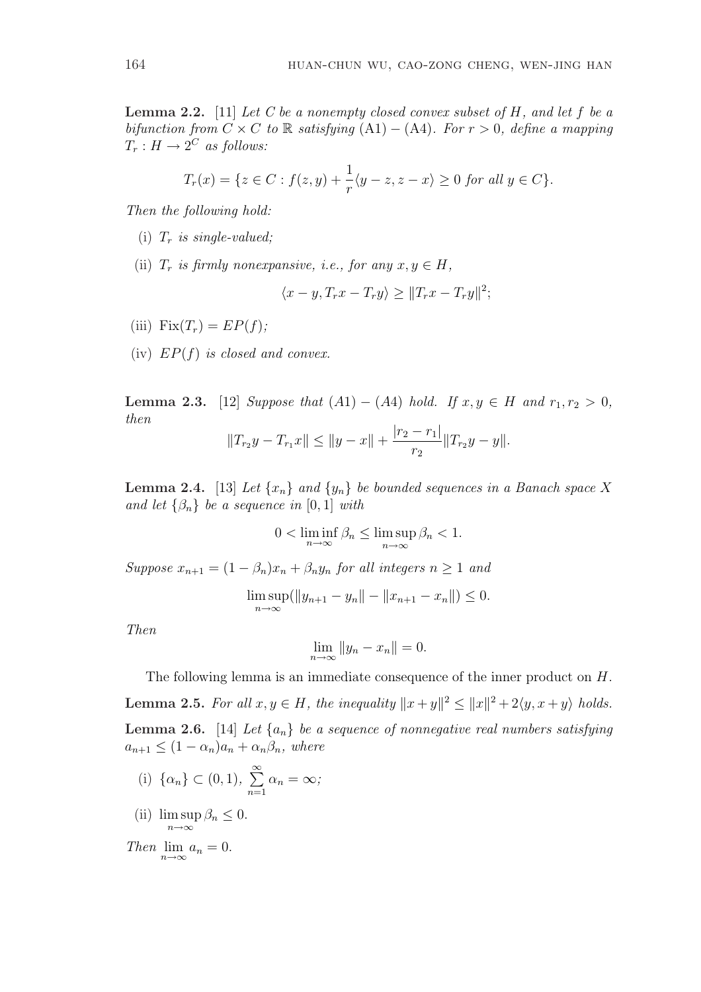**Lemma 2.2.** [11] Let C be a nonempty closed convex subset of  $H$ , and let  $f$  be a bifunction from  $C \times C$  to R satisfying (A1) – (A4). For  $r > 0$ , define a mapping  $T_r: H \to 2^C$  as follows:

$$
T_r(x) = \{ z \in C : f(z, y) + \frac{1}{r} \langle y - z, z - x \rangle \ge 0 \text{ for all } y \in C \}.
$$

Then the following hold:

- (i)  $T_r$  is single-valued;
- (ii)  $T_r$  is firmly nonexpansive, i.e., for any  $x, y \in H$ ,

$$
\langle x-y, T_rx - T_ry \rangle \ge ||T_rx - T_ry||^2;
$$

- (iii)  $Fix(T_r) = EP(f);$
- (iv)  $EP(f)$  is closed and convex.

**Lemma 2.3.** [12] Suppose that  $(A1) - (A4)$  hold. If  $x, y \in H$  and  $r_1, r_2 > 0$ , then

$$
||T_{r_2}y - T_{r_1}x|| \le ||y - x|| + \frac{|r_2 - r_1|}{r_2}||T_{r_2}y - y||.
$$

**Lemma 2.4.** [13] Let  $\{x_n\}$  and  $\{y_n\}$  be bounded sequences in a Banach space X and let  $\{\beta_n\}$  be a sequence in  $[0, 1]$  with

$$
0 < \liminf_{n \to \infty} \beta_n \le \limsup_{n \to \infty} \beta_n < 1.
$$

Suppose  $x_{n+1} = (1 - \beta_n)x_n + \beta_n y_n$  for all integers  $n \ge 1$  and

$$
\limsup_{n \to \infty} (\|y_{n+1} - y_n\| - \|x_{n+1} - x_n\|) \le 0.
$$

Then

$$
\lim_{n \to \infty} \|y_n - x_n\| = 0.
$$

The following lemma is an immediate consequence of the inner product on H. **Lemma 2.5.** For all  $x, y \in H$ , the inequality  $||x + y||^2 \le ||x||^2 + 2\langle y, x + y \rangle$  holds. **Lemma 2.6.** [14] Let  $\{a_n\}$  be a sequence of nonnegative real numbers satisfying  $a_{n+1} \leq (1 - \alpha_n)a_n + \alpha_n\beta_n$ , where

(i) 
$$
\{\alpha_n\} \subset (0,1), \sum_{n=1}^{\infty} \alpha_n = \infty;
$$

(ii)  $\limsup \beta_n \leq 0$ .  $n \rightarrow \infty$ 

Then  $\lim_{n\to\infty} a_n = 0.$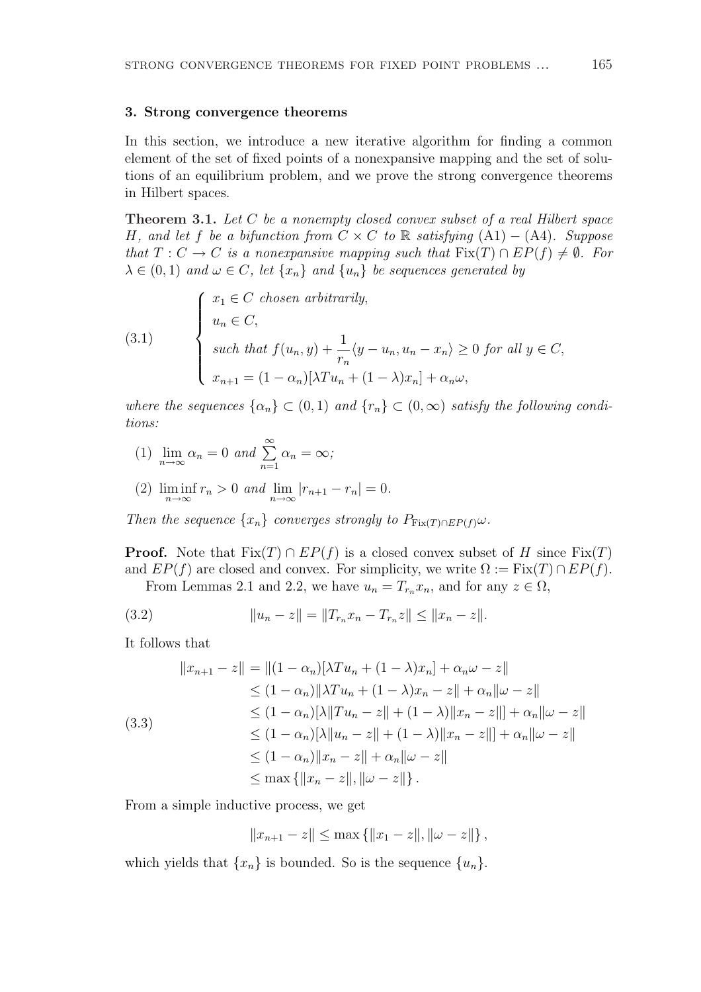#### 3. Strong convergence theorems

In this section, we introduce a new iterative algorithm for finding a common element of the set of fixed points of a nonexpansive mapping and the set of solutions of an equilibrium problem, and we prove the strong convergence theorems in Hilbert spaces.

Theorem 3.1. Let C be a nonempty closed convex subset of a real Hilbert space H, and let f be a bifunction from  $C \times C$  to R satisfying  $(A1) - (A4)$ . Suppose that  $T: C \to C$  is a nonexpansive mapping such that  $Fix(T) \cap EP(f) \neq \emptyset$ . For  $\lambda \in (0,1)$  and  $\omega \in C$ , let  $\{x_n\}$  and  $\{u_n\}$  be sequences generated by

(3.1) 
$$
\begin{cases} x_1 \in C \text{ chosen arbitrarily,} \\ u_n \in C, \\ \text{such that } f(u_n, y) + \frac{1}{r_n} \langle y - u_n, u_n - x_n \rangle \ge 0 \text{ for all } y \in C, \\ x_{n+1} = (1 - \alpha_n)[\lambda T u_n + (1 - \lambda)x_n] + \alpha_n \omega, \end{cases}
$$

where the sequences  $\{\alpha_n\} \subset (0,1)$  and  $\{r_n\} \subset (0,\infty)$  satisfy the following conditions:

(1) 
$$
\lim_{n \to \infty} \alpha_n = 0
$$
 and  $\sum_{n=1}^{\infty} \alpha_n = \infty$ ;

(2) 
$$
\liminf_{n \to \infty} r_n > 0
$$
 and  $\lim_{n \to \infty} |r_{n+1} - r_n| = 0$ .

Then the sequence  $\{x_n\}$  converges strongly to  $P_{\text{Fix}(T) \cap \text{EP}(f)} \omega$ .

**Proof.** Note that  $Fix(T) \cap EP(f)$  is a closed convex subset of H since  $Fix(T)$ and  $EP(f)$  are closed and convex. For simplicity, we write  $\Omega := \text{Fix}(T) \cap EP(f)$ .

From Lemmas 2.1 and 2.2, we have  $u_n = T_{r_n} x_n$ , and for any  $z \in \Omega$ ,

(3.2) 
$$
||u_n - z|| = ||T_{r_n}x_n - T_{r_n}z|| \le ||x_n - z||.
$$

It follows that

$$
||x_{n+1} - z|| = ||(1 - \alpha_n)[\lambda T u_n + (1 - \lambda)x_n] + \alpha_n \omega - z||
$$
  
\n
$$
\leq (1 - \alpha_n) ||\lambda T u_n + (1 - \lambda)x_n - z|| + \alpha_n ||\omega - z||
$$
  
\n
$$
\leq (1 - \alpha_n)[\lambda ||Tu_n - z|| + (1 - \lambda) ||x_n - z||] + \alpha_n ||\omega - z||
$$
  
\n
$$
\leq (1 - \alpha_n)[\lambda ||u_n - z|| + (1 - \lambda) ||x_n - z||] + \alpha_n ||\omega - z||
$$
  
\n
$$
\leq (1 - \alpha_n) ||x_n - z|| + \alpha_n ||\omega - z||
$$
  
\n
$$
\leq \max \{ ||x_n - z||, ||\omega - z|| \}.
$$

From a simple inductive process, we get

$$
||x_{n+1} - z|| \le \max \{||x_1 - z||, ||\omega - z||\},\
$$

which yields that  $\{x_n\}$  is bounded. So is the sequence  $\{u_n\}$ .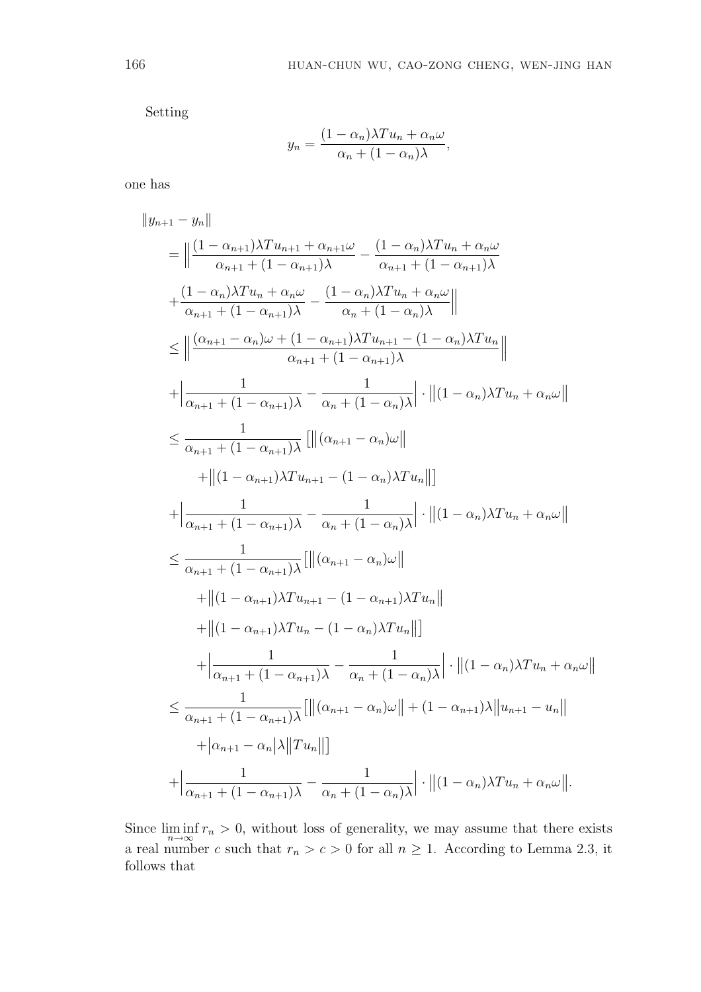Setting

$$
y_n = \frac{(1 - \alpha_n)\lambda T u_n + \alpha_n \omega}{\alpha_n + (1 - \alpha_n)\lambda},
$$

one has

$$
\|y_{n+1} - y_n\|
$$
\n
$$
= \left\|\frac{(1 - \alpha_{n+1})\lambda T u_{n+1} + \alpha_{n+1}\omega}{\alpha_{n+1} + (1 - \alpha_{n+1})\lambda} - \frac{(1 - \alpha_n)\lambda T u_n + \alpha_n\omega}{\alpha_{n+1} + (1 - \alpha_{n+1})\lambda} + \frac{(1 - \alpha_n)\lambda T u_n + \alpha_n\omega}{\alpha_{n+1} + (1 - \alpha_{n+1})\lambda} - \frac{(1 - \alpha_n)\lambda T u_n + \alpha_n\omega}{\alpha_n + (1 - \alpha_n)\lambda} \right\|
$$
\n
$$
\leq \left\|\frac{(\alpha_{n+1} - \alpha_n)\omega + (1 - \alpha_{n+1})\lambda T u_{n+1} - (1 - \alpha_n)\lambda T u_n}{\alpha_{n+1} + (1 - \alpha_{n+1})\lambda} \right\| + \left\|\frac{1}{\alpha_{n+1} + (1 - \alpha_{n+1})\lambda} - \frac{1}{\alpha_n + (1 - \alpha_n)\lambda} \right\| \cdot \left\|(1 - \alpha_n)\lambda T u_n + \alpha_n\omega\right\|
$$
\n
$$
\leq \frac{1}{\alpha_{n+1} + (1 - \alpha_{n+1})\lambda} \left[\left\|\left(\alpha_{n+1} - \alpha_n\right)\omega\right\| + \left\|(1 - \alpha_{n+1})\lambda T u_{n+1} - (1 - \alpha_n)\lambda T u_n\right\|\right]
$$
\n
$$
+ \left\|\frac{1}{\alpha_{n+1} + (1 - \alpha_{n+1})\lambda} - \frac{1}{\alpha_n + (1 - \alpha_n)\lambda} \right\| \cdot \left\|(1 - \alpha_n)\lambda T u_n + \alpha_n\omega\right\|
$$
\n
$$
\leq \frac{1}{\alpha_{n+1} + (1 - \alpha_{n+1})\lambda} \left[\left\|\left(\alpha_{n+1} - \alpha_n\right)\omega\right\| + \left\|(1 - \alpha_{n+1})\lambda T u_n - (1 - \alpha_n)\lambda T u_n\right\|\right]
$$
\n
$$
+ \left\|(1 - \alpha_{n+1})\lambda T u_n - (1 - \alpha_n)\lambda T u_n\right\|\right]
$$
\n
$$
+ \left\|\frac{1}{\alpha_{n+1} + (1 - \alpha_{n+1})\lambda} - \frac{1}{\alpha_n + (1
$$

Since  $\liminf_{n\to\infty} r_n > 0$ , without loss of generality, we may assume that there exists a real number c such that  $r_n > c > 0$  for all  $n \ge 1$ . According to Lemma 2.3, it follows that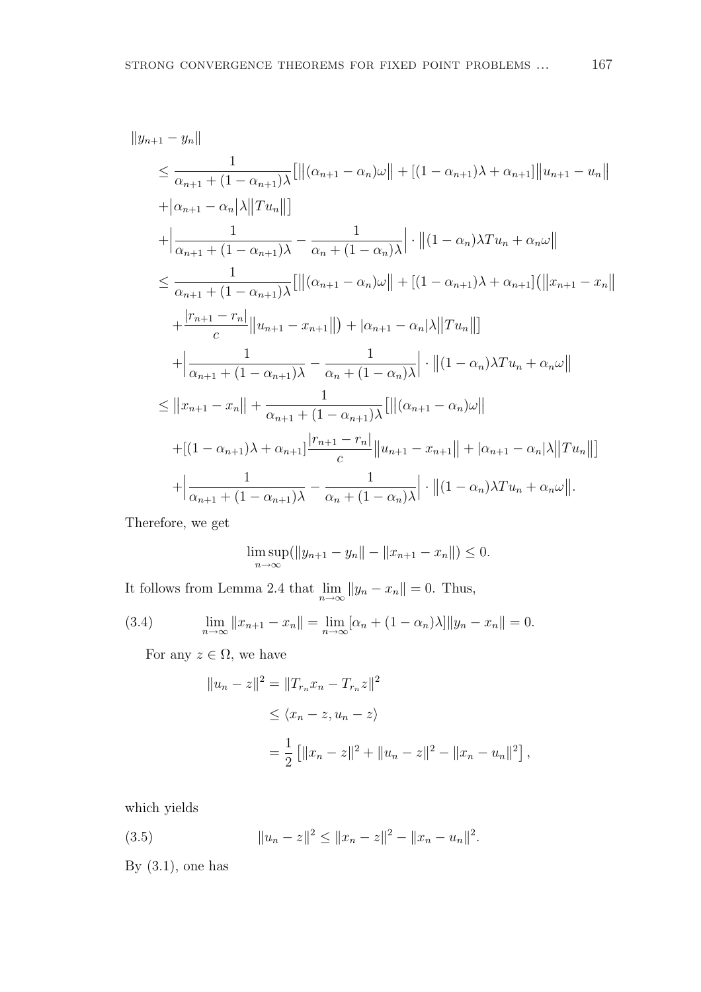$$
||y_{n+1} - y_n||
$$
  
\n
$$
\leq \frac{1}{\alpha_{n+1} + (1 - \alpha_{n+1})\lambda} [||(\alpha_{n+1} - \alpha_n)\omega|| + [(1 - \alpha_{n+1})\lambda + \alpha_{n+1}||u_{n+1} - u_n||
$$
  
\n
$$
+|\alpha_{n+1} - \alpha_n|\lambda||Tu_n||]
$$
  
\n
$$
+ \left|\frac{1}{\alpha_{n+1} + (1 - \alpha_{n+1})\lambda} - \frac{1}{\alpha_n + (1 - \alpha_n)\lambda}\right| \cdot ||(1 - \alpha_n)\lambda Tu_n + \alpha_n\omega||
$$
  
\n
$$
\leq \frac{1}{\alpha_{n+1} + (1 - \alpha_{n+1})\lambda} [||(\alpha_{n+1} - \alpha_n)\omega|| + [(1 - \alpha_{n+1})\lambda + \alpha_{n+1}](||x_{n+1} - x_n|| + \frac{|r_{n+1} - r_n|}{c} ||u_{n+1} - x_{n+1}|| + |\alpha_{n+1} - \alpha_n|\lambda||Tu_n||]
$$
  
\n
$$
+ \left|\frac{1}{\alpha_{n+1} + (1 - \alpha_{n+1})\lambda} - \frac{1}{\alpha_n + (1 - \alpha_n)\lambda} \right| \cdot ||(1 - \alpha_n)\lambda Tu_n + \alpha_n\omega||
$$
  
\n
$$
\leq ||x_{n+1} - x_n|| + \frac{1}{\alpha_{n+1} + (1 - \alpha_{n+1})\lambda} [||(\alpha_{n+1} - \alpha_n)\omega|| + |(\alpha_{n+1} - \alpha_n|\lambda||Tu_n|| + \alpha_{n+1}|\lambda + \alpha_{n+1}|\frac{|r_{n+1} - r_n|}{c} ||u_{n+1} - x_{n+1}|| + |\alpha_{n+1} - \alpha_n|\lambda||Tu_n||]
$$
  
\n
$$
+ \left|\frac{1}{\alpha_{n+1} + (1 - \alpha_{n+1})\lambda} - \frac{1}{\alpha_n + (1 - \alpha_n)\lambda} \right| \cdot ||(1 - \alpha_n)\lambda Tu_n + \alpha_n\omega||.
$$

Therefore, we get

$$
\limsup_{n \to \infty} (\|y_{n+1} - y_n\| - \|x_{n+1} - x_n\|) \le 0.
$$

It follows from Lemma 2.4 that  $\lim_{n \to \infty} ||y_n - x_n|| = 0$ . Thus,

(3.4) 
$$
\lim_{n \to \infty} ||x_{n+1} - x_n|| = \lim_{n \to \infty} [\alpha_n + (1 - \alpha_n)\lambda] ||y_n - x_n|| = 0.
$$

For any  $z \in \Omega$ , we have

$$
||u_n - z||^2 = ||T_{r_n}x_n - T_{r_n}z||^2
$$
  
\n
$$
\leq \langle x_n - z, u_n - z \rangle
$$
  
\n
$$
= \frac{1}{2} [||x_n - z||^2 + ||u_n - z||^2 - ||x_n - u_n||^2],
$$

which yields

(3.5) 
$$
||u_n - z||^2 \le ||x_n - z||^2 - ||x_n - u_n||^2.
$$

By  $(3.1)$ , one has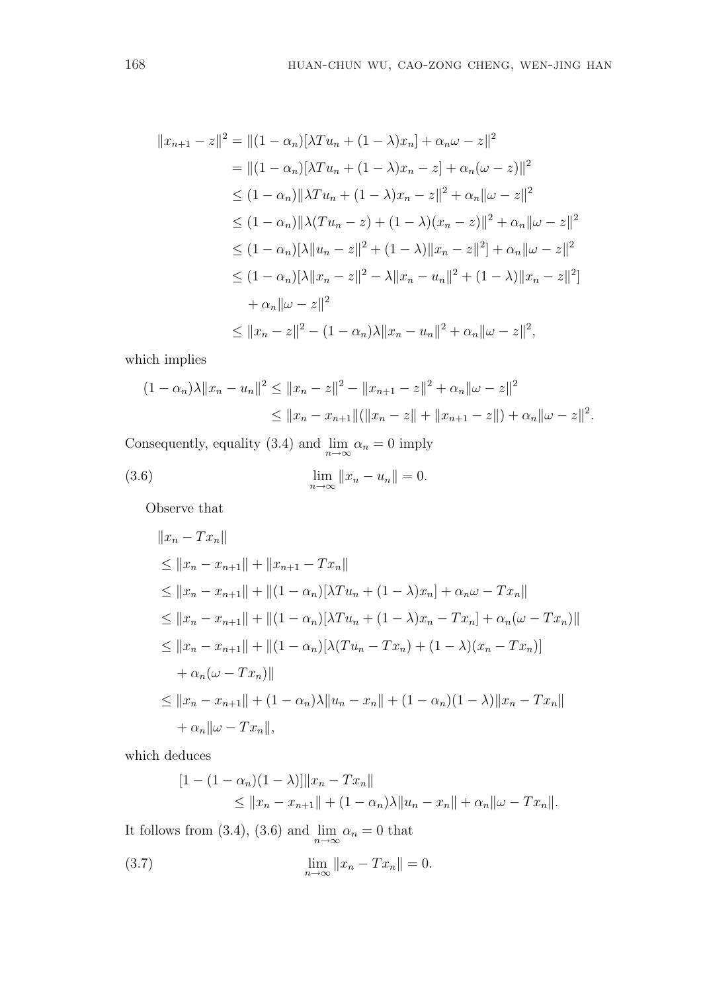$$
||x_{n+1} - z||^2 = ||(1 - \alpha_n)[\lambda T u_n + (1 - \lambda)x_n] + \alpha_n \omega - z||^2
$$
  
\n
$$
= ||(1 - \alpha_n)[\lambda T u_n + (1 - \lambda)x_n - z] + \alpha_n(\omega - z)||^2
$$
  
\n
$$
\leq (1 - \alpha_n)||\lambda T u_n + (1 - \lambda)x_n - z||^2 + \alpha_n ||\omega - z||^2
$$
  
\n
$$
\leq (1 - \alpha_n)||\lambda (Tu_n - z) + (1 - \lambda)(x_n - z)||^2 + \alpha_n ||\omega - z||^2
$$
  
\n
$$
\leq (1 - \alpha_n)[\lambda ||u_n - z||^2 + (1 - \lambda) ||x_n - z||^2] + \alpha_n ||\omega - z||^2
$$
  
\n
$$
\leq (1 - \alpha_n)[\lambda ||x_n - z||^2 - \lambda ||x_n - u_n||^2 + (1 - \lambda) ||x_n - z||^2]
$$
  
\n
$$
+ \alpha_n ||\omega - z||^2
$$
  
\n
$$
\leq ||x_n - z||^2 - (1 - \alpha_n)\lambda ||x_n - u_n||^2 + \alpha_n ||\omega - z||^2,
$$

which implies

$$
(1 - \alpha_n)\lambda \|x_n - u_n\|^2 \le \|x_n - z\|^2 - \|x_{n+1} - z\|^2 + \alpha_n \|\omega - z\|^2
$$
  

$$
\le \|x_n - x_{n+1}\| (\|x_n - z\| + \|x_{n+1} - z\|) + \alpha_n \|\omega - z\|^2.
$$

Consequently, equality (3.4) and  $\lim_{n\to\infty} \alpha_n = 0$  imply

(3.6) 
$$
\lim_{n \to \infty} ||x_n - u_n|| = 0.
$$

Observe that

$$
||x_n - Tx_n||
$$
  
\n
$$
\le ||x_n - x_{n+1}|| + ||x_{n+1} - Tx_n||
$$
  
\n
$$
\le ||x_n - x_{n+1}|| + ||(1 - \alpha_n)[\lambda Tu_n + (1 - \lambda)x_n] + \alpha_n \omega - Tx_n||
$$
  
\n
$$
\le ||x_n - x_{n+1}|| + ||(1 - \alpha_n)[\lambda Tu_n + (1 - \lambda)x_n - Tx_n] + \alpha_n(\omega - Tx_n)||
$$
  
\n
$$
\le ||x_n - x_{n+1}|| + ||(1 - \alpha_n)[\lambda (Tu_n - Tx_n) + (1 - \lambda)(x_n - Tx_n)]
$$
  
\n
$$
+ \alpha_n(\omega - Tx_n)||
$$
  
\n
$$
\le ||x_n - x_{n+1}|| + (1 - \alpha_n)\lambda ||u_n - x_n|| + (1 - \alpha_n)(1 - \lambda) ||x_n - Tx_n||
$$
  
\n
$$
+ \alpha_n ||\omega - Tx_n||,
$$

which deduces

$$
[1 - (1 - \alpha_n)(1 - \lambda)] ||x_n - Tx_n||
$$
  
\n
$$
\le ||x_n - x_{n+1}|| + (1 - \alpha_n)\lambda ||u_n - x_n|| + \alpha_n ||\omega - Tx_n||.
$$

It follows from (3.4), (3.6) and  $\lim_{n\to\infty} \alpha_n = 0$  that

(3.7) 
$$
\lim_{n \to \infty} ||x_n - Tx_n|| = 0.
$$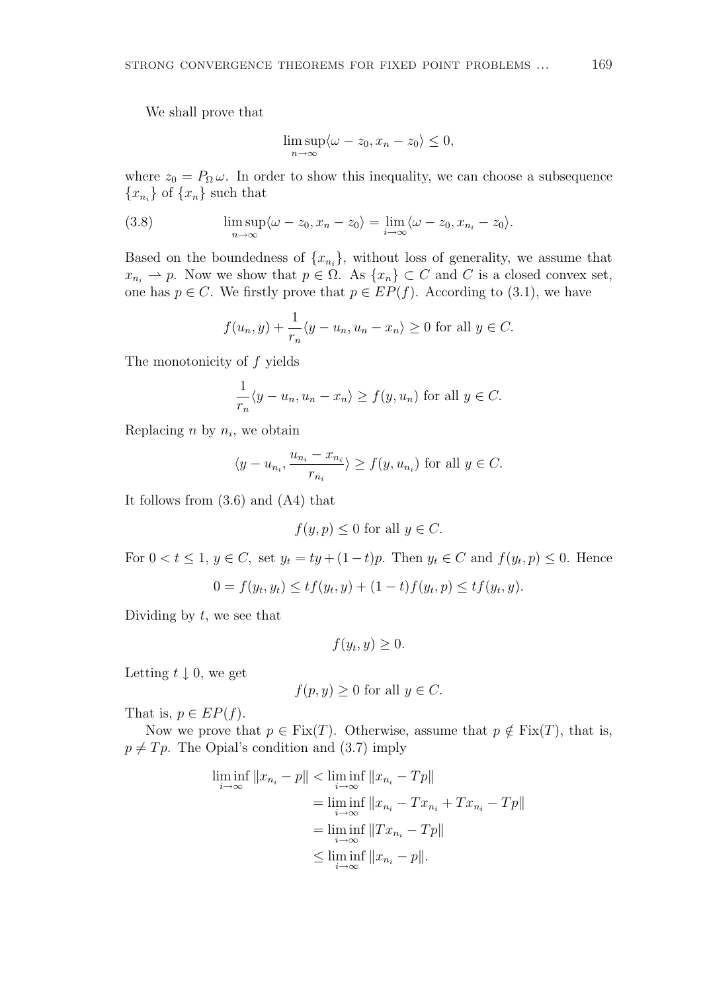We shall prove that

$$
\limsup_{n \to \infty} \langle \omega - z_0, x_n - z_0 \rangle \le 0,
$$

where  $z_0 = P_\Omega \omega$ . In order to show this inequality, we can choose a subsequence  ${x_{n_i}}$  of  ${x_n}$  such that

(3.8) 
$$
\limsup_{n \to \infty} \langle \omega - z_0, x_n - z_0 \rangle = \lim_{i \to \infty} \langle \omega - z_0, x_{n_i} - z_0 \rangle.
$$

Based on the boundedness of  $\{x_{n_i}\}\$ , without loss of generality, we assume that  $x_{n_i} \rightharpoonup p$ . Now we show that  $p \in \Omega$ . As  $\{x_n\} \subset C$  and C is a closed convex set, one has  $p \in C$ . We firstly prove that  $p \in EP(f)$ . According to (3.1), we have

$$
f(u_n, y) + \frac{1}{r_n} \langle y - u_n, u_n - x_n \rangle \ge 0
$$
 for all  $y \in C$ .

The monotonicity of  $f$  yields

$$
\frac{1}{r_n}\langle y - u_n, u_n - x_n \rangle \ge f(y, u_n)
$$
 for all  $y \in C$ .

Replacing  $n$  by  $n_i$ , we obtain

$$
\langle y - u_{n_i}, \frac{u_{n_i} - x_{n_i}}{r_{n_i}} \rangle \ge f(y, u_{n_i})
$$
 for all  $y \in C$ .

It follows from (3.6) and (A4) that

$$
f(y, p) \le 0
$$
 for all  $y \in C$ .

For  $0 < t \leq 1$ ,  $y \in C$ , set  $y_t = ty + (1-t)p$ . Then  $y_t \in C$  and  $f(y_t, p) \leq 0$ . Hence

$$
0 = f(y_t, y_t) \le tf(y_t, y) + (1 - t)f(y_t, p) \le tf(y_t, y).
$$

Dividing by  $t$ , we see that

$$
f(y_t, y) \geq 0.
$$

Letting  $t \downarrow 0$ , we get

$$
f(p, y) \ge 0
$$
 for all  $y \in C$ .

That is,  $p \in EP(f)$ .

Now we prove that  $p \in \text{Fix}(T)$ . Otherwise, assume that  $p \notin \text{Fix}(T)$ , that is,  $p \neq T p$ . The Opial's condition and (3.7) imply

$$
\liminf_{i \to \infty} ||x_{n_i} - p|| < \liminf_{i \to \infty} ||x_{n_i} - Tp||
$$
\n
$$
= \liminf_{i \to \infty} ||x_{n_i} - Tx_{n_i} + Tx_{n_i} - Tp||
$$
\n
$$
= \liminf_{i \to \infty} ||Tx_{n_i} - Tp||
$$
\n
$$
\leq \liminf_{i \to \infty} ||x_{n_i} - p||.
$$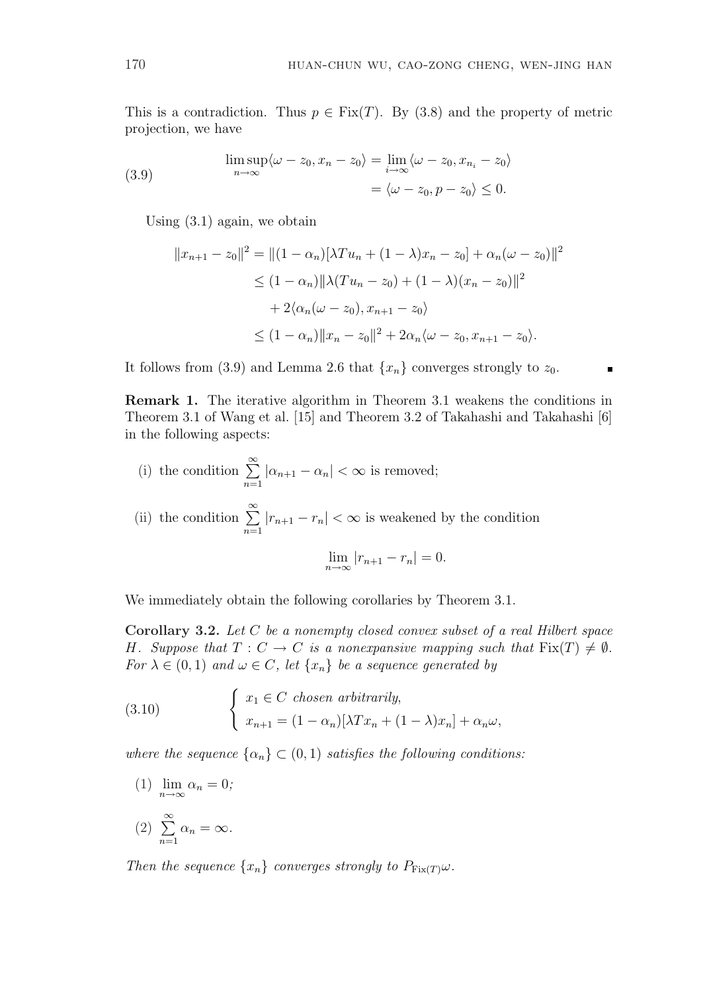This is a contradiction. Thus  $p \in Fix(T)$ . By (3.8) and the property of metric projection, we have

(3.9) 
$$
\limsup_{n \to \infty} \langle \omega - z_0, x_n - z_0 \rangle = \lim_{i \to \infty} \langle \omega - z_0, x_{n_i} - z_0 \rangle
$$

$$
= \langle \omega - z_0, p - z_0 \rangle \leq 0.
$$

Using (3.1) again, we obtain

$$
||x_{n+1} - z_0||^2 = ||(1 - \alpha_n)[\lambda T u_n + (1 - \lambda)x_n - z_0] + \alpha_n(\omega - z_0)||^2
$$
  
\n
$$
\leq (1 - \alpha_n) ||\lambda (T u_n - z_0) + (1 - \lambda)(x_n - z_0)||^2
$$
  
\n
$$
+ 2\langle \alpha_n(\omega - z_0), x_{n+1} - z_0 \rangle
$$
  
\n
$$
\leq (1 - \alpha_n) ||x_n - z_0||^2 + 2\alpha_n \langle \omega - z_0, x_{n+1} - z_0 \rangle.
$$

It follows from (3.9) and Lemma 2.6 that  $\{x_n\}$  converges strongly to  $z_0$ .

Remark 1. The iterative algorithm in Theorem 3.1 weakens the conditions in Theorem 3.1 of Wang et al. [15] and Theorem 3.2 of Takahashi and Takahashi [6] in the following aspects:

(i) the condition  $\sum_{n=1}^{\infty}$  $n=1$  $|\alpha_{n+1} - \alpha_n| < \infty$  is removed;

(ii) the condition  $\sum_{n=1}^{\infty}$  $n=1$  $|r_{n+1} - r_n| < \infty$  is weakened by the condition

$$
\lim_{n \to \infty} |r_{n+1} - r_n| = 0.
$$

We immediately obtain the following corollaries by Theorem 3.1.

Corollary 3.2. Let C be a nonempty closed convex subset of a real Hilbert space H. Suppose that  $T: C \to C$  is a nonexpansive mapping such that  $Fix(T) \neq \emptyset$ . For  $\lambda \in (0,1)$  and  $\omega \in C$ , let  $\{x_n\}$  be a sequence generated by

(3.10) 
$$
\begin{cases} x_1 \in C \text{ chosen arbitrarily,} \\ x_{n+1} = (1 - \alpha_n)[\lambda Tx_n + (1 - \lambda)x_n] + \alpha_n \omega, \end{cases}
$$

where the sequence  $\{\alpha_n\} \subset (0,1)$  satisfies the following conditions:

(1) 
$$
\lim_{n \to \infty} \alpha_n = 0;
$$
  
(2) 
$$
\sum_{n=1}^{\infty} \alpha_n = \infty.
$$

Then the sequence  $\{x_n\}$  converges strongly to  $P_{\text{Fix}(T)}\omega$ .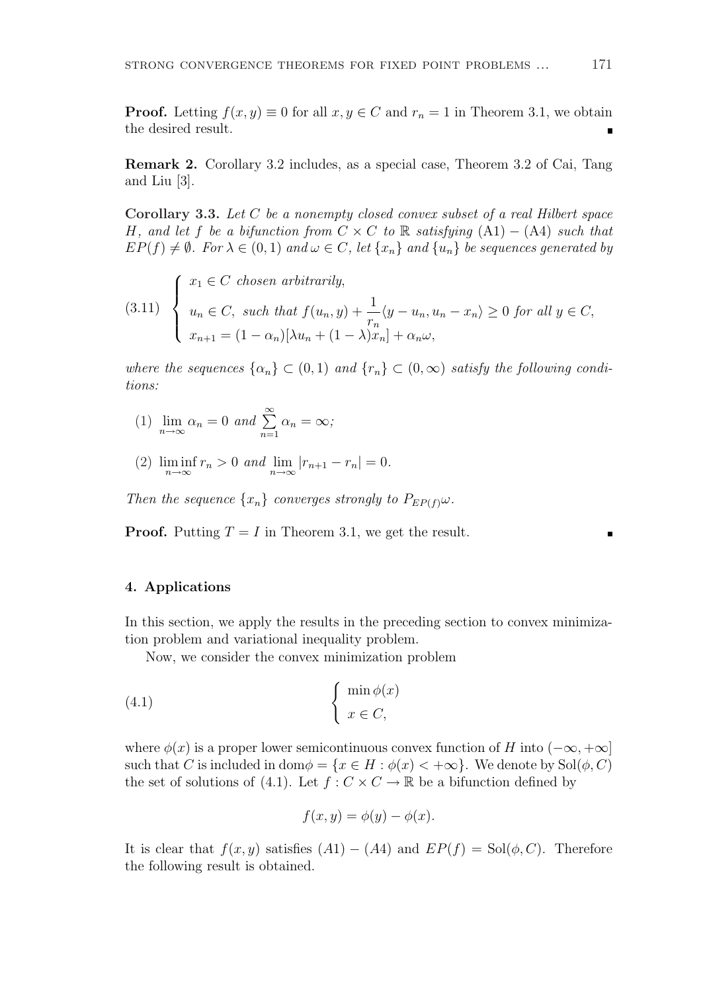**Proof.** Letting  $f(x, y) \equiv 0$  for all  $x, y \in C$  and  $r_n = 1$  in Theorem 3.1, we obtain the desired result.

Remark 2. Corollary 3.2 includes, as a special case, Theorem 3.2 of Cai, Tang and Liu [3].

Corollary 3.3. Let  $C$  be a nonempty closed convex subset of a real Hilbert space H, and let f be a bifunction from  $C \times C$  to R satisfying  $(A1) - (A4)$  such that  $EP(f) \neq \emptyset$ . For  $\lambda \in (0,1)$  and  $\omega \in C$ , let  $\{x_n\}$  and  $\{u_n\}$  be sequences generated by

(3.11) 
$$
\begin{cases} x_1 \in C \text{ chosen arbitrarily,} \\ u_n \in C, \text{ such that } f(u_n, y) + \frac{1}{r_n} \langle y - u_n, u_n - x_n \rangle \ge 0 \text{ for all } y \in C, \\ x_{n+1} = (1 - \alpha_n) [\lambda u_n + (1 - \lambda) x_n] + \alpha_n \omega, \end{cases}
$$

where the sequences  $\{\alpha_n\} \subset (0,1)$  and  $\{r_n\} \subset (0,\infty)$  satisfy the following conditions:

- (1)  $\lim_{n \to \infty} \alpha_n = 0$  and  $\sum_{n=1}^{\infty}$  $n=1$  $\alpha_n = \infty;$
- (2)  $\liminf_{n \to \infty} r_n > 0$  and  $\lim_{n \to \infty} |r_{n+1} r_n| = 0.$

Then the sequence  $\{x_n\}$  converges strongly to  $P_{EP(f)}\omega$ .

**Proof.** Putting  $T = I$  in Theorem 3.1, we get the result.

## 4. Applications

In this section, we apply the results in the preceding section to convex minimization problem and variational inequality problem.

Now, we consider the convex minimization problem

(4.1) 
$$
\begin{cases} \min \phi(x) \\ x \in C, \end{cases}
$$

where  $\phi(x)$  is a proper lower semicontinuous convex function of H into  $(-\infty, +\infty]$ such that C is included in dom $\phi = \{x \in H : \phi(x) < +\infty\}$ . We denote by  $\text{Sol}(\phi, C)$ the set of solutions of (4.1). Let  $f: C \times C \to \mathbb{R}$  be a bifunction defined by

$$
f(x, y) = \phi(y) - \phi(x).
$$

It is clear that  $f(x, y)$  satisfies  $(A1) - (A4)$  and  $EP(f) = Sol(\phi, C)$ . Therefore the following result is obtained.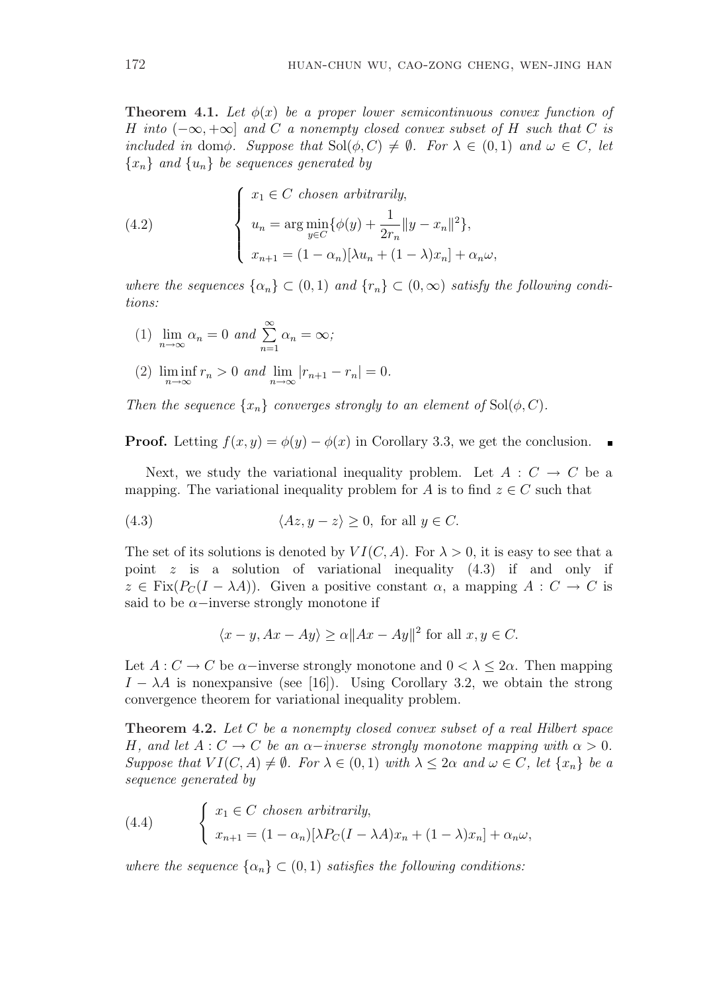**Theorem 4.1.** Let  $\phi(x)$  be a proper lower semicontinuous convex function of H into  $(-\infty, +\infty]$  and C a nonempty closed convex subset of H such that C is included in domφ. Suppose that  $Sol(\phi, C) \neq \emptyset$ . For  $\lambda \in (0, 1)$  and  $\omega \in C$ , let  ${x_n}$  and  ${u_n}$  be sequences generated by

(4.2) 
$$
\begin{cases} x_1 \in C \text{ chosen arbitrarily,} \\ u_n = \arg \min_{y \in C} {\{\phi(y) + \frac{1}{2r_n} ||y - x_n||^2\}}, \\ x_{n+1} = (1 - \alpha_n)[\lambda u_n + (1 - \lambda)x_n] + \alpha_n \omega, \end{cases}
$$

where the sequences  $\{\alpha_n\} \subset (0,1)$  and  $\{r_n\} \subset (0,\infty)$  satisfy the following conditions:

- (1)  $\lim_{n \to \infty} \alpha_n = 0$  and  $\sum_{n=1}^{\infty}$  $n=1$  $\alpha_n = \infty;$
- (2)  $\liminf_{n \to \infty} r_n > 0$  and  $\lim_{n \to \infty} |r_{n+1} r_n| = 0.$

Then the sequence  $\{x_n\}$  converges strongly to an element of  $\text{Sol}(\phi, C)$ .

**Proof.** Letting  $f(x, y) = \phi(y) - \phi(x)$  in Corollary 3.3, we get the conclusion.

Next, we study the variational inequality problem. Let  $A: C \rightarrow C$  be a mapping. The variational inequality problem for A is to find  $z \in C$  such that

(4.3) 
$$
\langle Az, y - z \rangle \ge 0, \text{ for all } y \in C.
$$

The set of its solutions is denoted by  $VI(C, A)$ . For  $\lambda > 0$ , it is easy to see that a point z is a solution of variational inequality (4.3) if and only if  $z \in Fix(P_C(I - \lambda A))$ . Given a positive constant  $\alpha$ , a mapping  $A : C \to C$  is said to be  $\alpha$ −inverse strongly monotone if

$$
\langle x - y, Ax - Ay \rangle \ge \alpha ||Ax - Ay||^2 \text{ for all } x, y \in C.
$$

Let  $A: C \to C$  be  $\alpha$ -inverse strongly monotone and  $0 < \lambda \leq 2\alpha$ . Then mapping  $I - \lambda A$  is nonexpansive (see [16]). Using Corollary 3.2, we obtain the strong convergence theorem for variational inequality problem.

Theorem 4.2. Let C be a nonempty closed convex subset of a real Hilbert space H, and let  $A: C \to C$  be an  $\alpha$ -inverse strongly monotone mapping with  $\alpha > 0$ . Suppose that  $VI(C, A) \neq \emptyset$ . For  $\lambda \in (0, 1)$  with  $\lambda \leq 2\alpha$  and  $\omega \in C$ , let  $\{x_n\}$  be a sequence generated by

(4.4) 
$$
\begin{cases} x_1 \in C \text{ chosen arbitrarily,} \\ x_{n+1} = (1 - \alpha_n)[\lambda P_C(I - \lambda A)x_n + (1 - \lambda)x_n] + \alpha_n \omega, \end{cases}
$$

where the sequence  $\{\alpha_n\} \subset (0,1)$  satisfies the following conditions: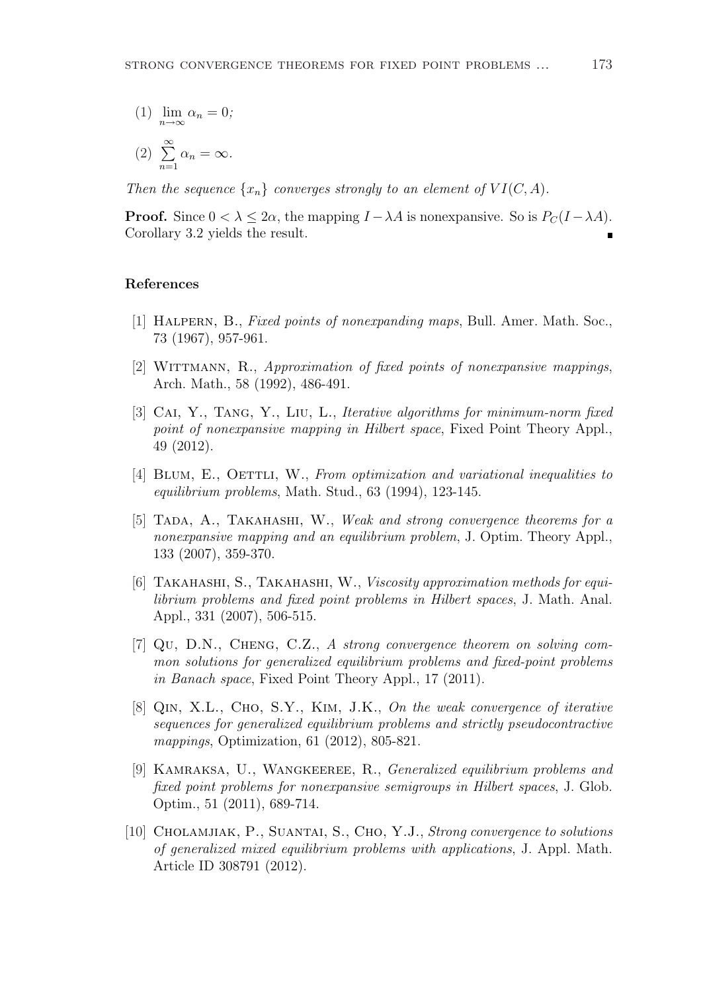(1)  $\lim_{n \to \infty} \alpha_n = 0;$ 

$$
(2) \sum_{n=1}^{\infty} \alpha_n = \infty.
$$

Then the sequence  $\{x_n\}$  converges strongly to an element of  $VI(C, A)$ .

**Proof.** Since  $0 < \lambda \leq 2\alpha$ , the mapping  $I - \lambda A$  is nonexpansive. So is  $P_C(I - \lambda A)$ . Corollary 3.2 yields the result.

## References

- [1] HALPERN, B., Fixed points of nonexpanding maps, Bull. Amer. Math. Soc., 73 (1967), 957-961.
- [2] WITTMANN, R., Approximation of fixed points of nonexpansive mappings, Arch. Math., 58 (1992), 486-491.
- [3] CAI, Y., TANG, Y., LIU, L., Iterative algorithms for minimum-norm fixed point of nonexpansive mapping in Hilbert space, Fixed Point Theory Appl., 49 (2012).
- [4] BLUM, E., OETTLI, W., From optimization and variational inequalities to equilibrium problems, Math. Stud., 63 (1994), 123-145.
- [5] TADA, A., TAKAHASHI, W., Weak and strong convergence theorems for a nonexpansive mapping and an equilibrium problem, J. Optim. Theory Appl., 133 (2007), 359-370.
- [6] TAKAHASHI, S., TAKAHASHI, W., Viscosity approximation methods for equilibrium problems and fixed point problems in Hilbert spaces, J. Math. Anal. Appl., 331 (2007), 506-515.
- [7] Qu, D.N., Cheng, C.Z., A strong convergence theorem on solving common solutions for generalized equilibrium problems and fixed-point problems in Banach space, Fixed Point Theory Appl., 17 (2011).
- [8] QIN, X.L., CHO, S.Y., KIM, J.K., On the weak convergence of iterative sequences for generalized equilibrium problems and strictly pseudocontractive mappings, Optimization, 61 (2012), 805-821.
- [9] Kamraksa, U., Wangkeeree, R., Generalized equilibrium problems and fixed point problems for nonexpansive semigroups in Hilbert spaces, J. Glob. Optim., 51 (2011), 689-714.
- [10] Cholamjiak, P., Suantai, S., Cho, Y.J., Strong convergence to solutions of generalized mixed equilibrium problems with applications, J. Appl. Math. Article ID 308791 (2012).